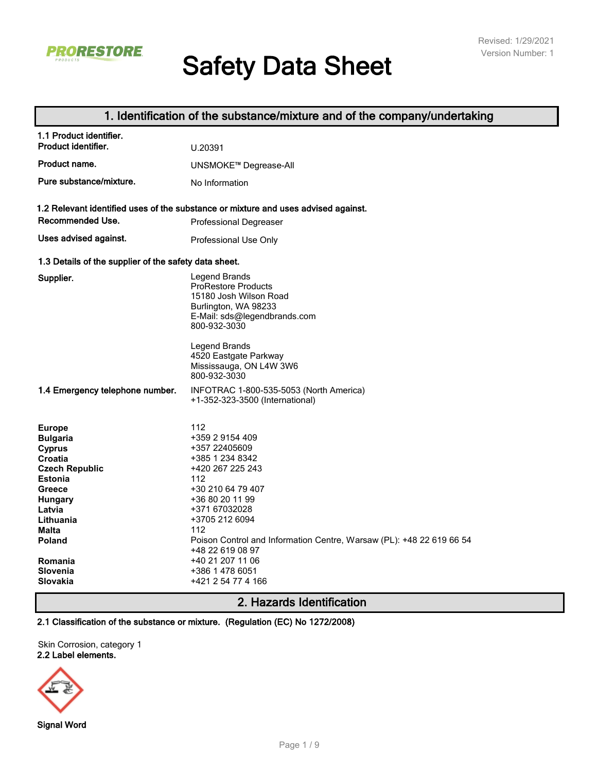

# **Safety Data Sheet**

# **1. Identification of the substance/mixture and of the company/undertaking**

# **2. Hazards Identification**

**2.1 Classification of the substance or mixture. (Regulation (EC) No 1272/2008)**

Skin Corrosion, category 1 **2.2 Label elements.**

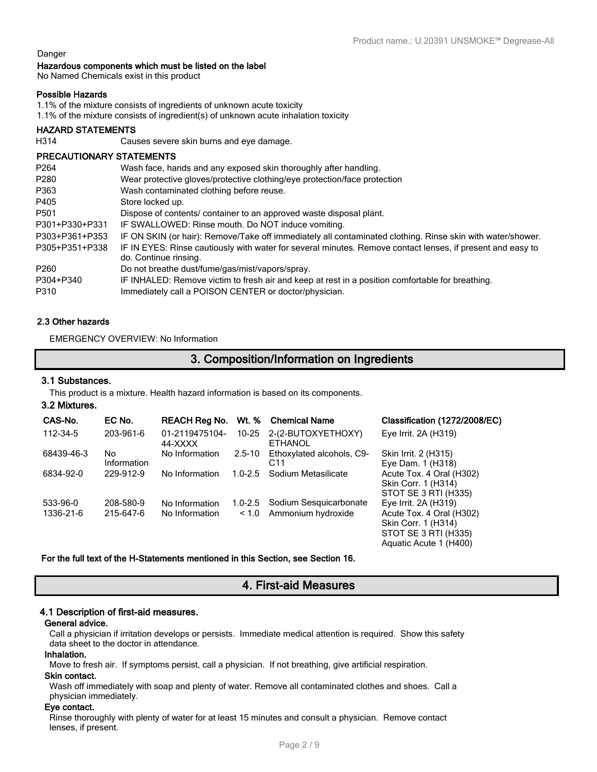Aquatic Acute 1 (H400)

#### Danger

#### **Hazardous components which must be listed on the label**

No Named Chemicals exist in this product

#### **Possible Hazards**

1.1% of the mixture consists of ingredients of unknown acute toxicity

1.1% of the mixture consists of ingredient(s) of unknown acute inhalation toxicity

#### **HAZARD STATEMENTS**

H314 Causes severe skin burns and eye damage.

#### **PRECAUTIONARY STATEMENTS**

| P <sub>264</sub> | Wash face, hands and any exposed skin thoroughly after handling.                                                                    |
|------------------|-------------------------------------------------------------------------------------------------------------------------------------|
| P280             | Wear protective gloves/protective clothing/eye protection/face protection                                                           |
| P363             | Wash contaminated clothing before reuse.                                                                                            |
| P405             | Store locked up.                                                                                                                    |
| P501             | Dispose of contents/ container to an approved waste disposal plant.                                                                 |
| P301+P330+P331   | IF SWALLOWED: Rinse mouth. Do NOT induce vomiting.                                                                                  |
| P303+P361+P353   | IF ON SKIN (or hair): Remove/Take off immediately all contaminated clothing. Rinse skin with water/shower.                          |
| P305+P351+P338   | IF IN EYES: Rinse cautiously with water for several minutes. Remove contact lenses, if present and easy to<br>do. Continue rinsing. |
| P <sub>260</sub> | Do not breathe dust/fume/gas/mist/vapors/spray.                                                                                     |
| P304+P340        | IF INHALED: Remove victim to fresh air and keep at rest in a position comfortable for breathing.                                    |
| P310             | Immediately call a POISON CENTER or doctor/physician.                                                                               |

#### **2.3 Other hazards**

EMERGENCY OVERVIEW: No Information

# **3. Composition/Information on Ingredients**

#### **3.1 Substances.**

This product is a mixture. Health hazard information is based on its components.

#### **3.2 Mixtures.**

| CAS-No.               | EC No.                 | <b>REACH Reg No.</b>             | Wt. %       | <b>Chemical Name</b>                                 | Classification (1272/2008/EC)                                                                    |
|-----------------------|------------------------|----------------------------------|-------------|------------------------------------------------------|--------------------------------------------------------------------------------------------------|
| 112-34-5              | 203-961-6              | 01-2119475104-<br>44-XXXX        | 10-25       | 2-(2-BUTOXYETHOXY)<br><b>ETHANOL</b>                 | Eye Irrit. 2A (H319)                                                                             |
| 68439-46-3            | No<br>Information      | No Information                   | $2.5 - 10$  | Ethoxylated alcohols, C9-<br>C <sub>11</sub>         | Skin Irrit. 2 (H315)<br>Eye Dam. 1 (H318)                                                        |
| 6834-92-0             | 229-912-9              | No Information                   | $1.0 - 2.5$ | Sodium Metasilicate                                  | Acute Tox. 4 Oral (H302)<br>Skin Corr. 1 (H314)<br>STOT SE 3 RTI (H335)                          |
| 533-96-0<br>1336-21-6 | 208-580-9<br>215-647-6 | No Information<br>No Information | < 1.0       | 1.0-2.5 Sodium Sesquicarbonate<br>Ammonium hydroxide | Eye Irrit. $2A(H319)$<br>Acute Tox. 4 Oral (H302)<br>Skin Corr. 1 (H314)<br>STOT SE 3 RTI (H335) |

#### **For the full text of the H-Statements mentioned in this Section, see Section 16.**

# **4. First-aid Measures**

#### **4.1 Description of first-aid measures.**

#### **General advice.**

Call a physician if irritation develops or persists. Immediate medical attention is required. Show this safety data sheet to the doctor in attendance.

#### **Inhalation.**

Move to fresh air. If symptoms persist, call a physician. If not breathing, give artificial respiration. **Skin contact.**

Wash off immediately with soap and plenty of water. Remove all contaminated clothes and shoes. Call a physician immediately.

#### **Eye contact.**

Rinse thoroughly with plenty of water for at least 15 minutes and consult a physician. Remove contact lenses, if present.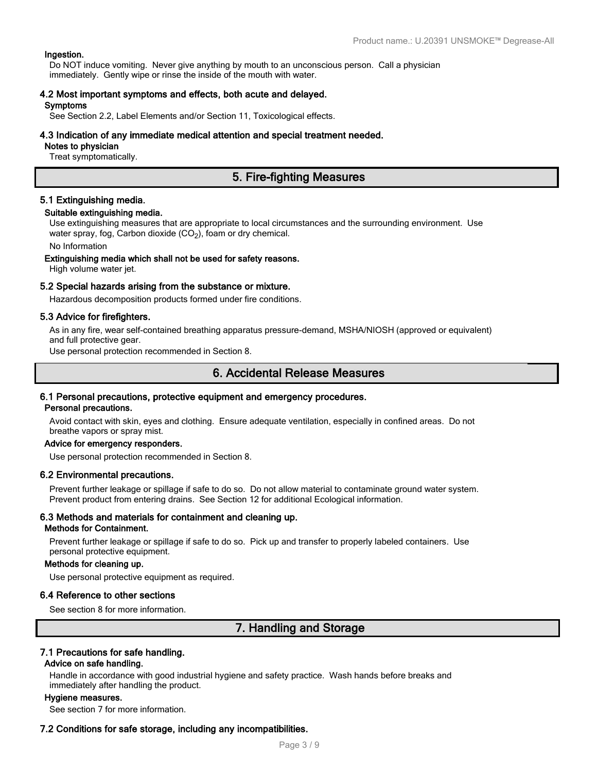#### **Ingestion.**

Do NOT induce vomiting. Never give anything by mouth to an unconscious person. Call a physician immediately. Gently wipe or rinse the inside of the mouth with water.

# **4.2 Most important symptoms and effects, both acute and delayed.**

#### **Symptoms**

See Section 2.2, Label Elements and/or Section 11, Toxicological effects.

#### **4.3 Indication of any immediate medical attention and special treatment needed.**

#### **Notes to physician**

Treat symptomatically.

# **5. Fire-fighting Measures**

#### **5.1 Extinguishing media.**

#### **Suitable extinguishing media.**

Use extinguishing measures that are appropriate to local circumstances and the surrounding environment. Use water spray, fog, Carbon dioxide (CO<sub>2</sub>), foam or dry chemical.

No Information

#### **Extinguishing media which shall not be used for safety reasons.**

High volume water jet.

#### **5.2 Special hazards arising from the substance or mixture.**

Hazardous decomposition products formed under fire conditions.

#### **5.3 Advice for firefighters.**

As in any fire, wear self-contained breathing apparatus pressure-demand, MSHA/NIOSH (approved or equivalent) and full protective gear.

Use personal protection recommended in Section 8.

# **6. Accidental Release Measures**

#### **6.1 Personal precautions, protective equipment and emergency procedures.**

**Personal precautions.**

Avoid contact with skin, eyes and clothing. Ensure adequate ventilation, especially in confined areas. Do not breathe vapors or spray mist.

#### **Advice for emergency responders.**

Use personal protection recommended in Section 8.

#### **6.2 Environmental precautions.**

Prevent further leakage or spillage if safe to do so. Do not allow material to contaminate ground water system. Prevent product from entering drains. See Section 12 for additional Ecological information.

#### **6.3 Methods and materials for containment and cleaning up.**

#### **Methods for Containment.**

Prevent further leakage or spillage if safe to do so. Pick up and transfer to properly labeled containers. Use personal protective equipment.

#### **Methods for cleaning up.**

Use personal protective equipment as required.

#### **6.4 Reference to other sections**

See section 8 for more information.

# **7. Handling and Storage**

#### **7.1 Precautions for safe handling.**

#### **Advice on safe handling.**

Handle in accordance with good industrial hygiene and safety practice. Wash hands before breaks and immediately after handling the product.

#### **Hygiene measures.**

See section 7 for more information.

#### **7.2 Conditions for safe storage, including any incompatibilities.**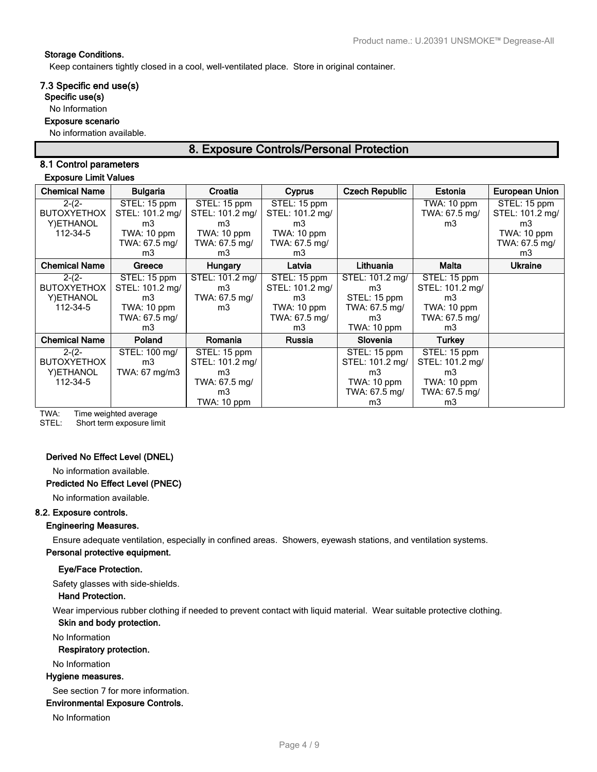#### **Storage Conditions.**

Keep containers tightly closed in a cool, well-ventilated place. Store in original container.

#### **7.3 Specific end use(s)**

**Specific use(s)**

#### No Information

#### **Exposure scenario**

No information available.

# **8. Exposure Controls/Personal Protection**

# **8.1 Control parameters**

#### **Exposure Limit Values**

| <b>Chemical Name</b> | <b>Bulgaria</b> | Croatia         | <b>Cyprus</b>   | <b>Czech Republic</b> | Estonia         | <b>European Union</b> |
|----------------------|-----------------|-----------------|-----------------|-----------------------|-----------------|-----------------------|
| $2-(2-$              | STEL: 15 ppm    | STEL: 15 ppm    | STEL: 15 ppm    |                       | TWA: 10 ppm     | STEL: 15 ppm          |
| <b>BUTOXYETHOX</b>   | STEL: 101.2 mg/ | STEL: 101.2 mg/ | STEL: 101.2 mg/ |                       | TWA: 67.5 mg/   | STEL: 101.2 mg/       |
| Y) ETHANOL           | m3              | m3              | m3              |                       | m3              | m3                    |
| 112-34-5             | TWA: 10 ppm     | TWA: 10 ppm     | TWA: 10 ppm     |                       |                 | TWA: 10 ppm           |
|                      | TWA: 67.5 mg/   | TWA: 67.5 mg/   | TWA: 67.5 mg/   |                       |                 | TWA: 67.5 mg/         |
|                      | m3              | m3              | m3              |                       |                 | m3                    |
| <b>Chemical Name</b> | Greece          | <b>Hungary</b>  | Latvia          | Lithuania             | Malta           | <b>Ukraine</b>        |
| $2-(2-$              | STEL: 15 ppm    | STEL: 101.2 mg/ | STEL: 15 ppm    | STEL: 101.2 mg/       | STEL: 15 ppm    |                       |
| <b>BUTOXYETHOX</b>   | STEL: 101.2 mg/ | m3              | STEL: 101.2 mg/ | m3                    | STEL: 101.2 mg/ |                       |
| Y) ETHANOL           | m <sub>3</sub>  | TWA: 67.5 mg/   | m3              | STEL: 15 ppm          | m3              |                       |
| 112-34-5             | TWA: 10 ppm     | m3              | TWA: 10 ppm     | TWA: 67.5 mg/         | TWA: 10 ppm     |                       |
|                      | TWA: 67.5 mg/   |                 | TWA: 67.5 mg/   | m3                    | TWA: 67.5 mg/   |                       |
|                      | m3              |                 | m3              | TWA: 10 ppm           | m3              |                       |
| <b>Chemical Name</b> | Poland          | Romania         | Russia          | Slovenia              | Turkey          |                       |
| $2-(2-$              | STEL: 100 mg/   | STEL: 15 ppm    |                 | STEL: 15 ppm          | STEL: 15 ppm    |                       |
| <b>BUTOXYETHOX</b>   | m3              | STEL: 101.2 mg/ |                 | STEL: 101.2 mg/       | STEL: 101.2 mg/ |                       |
| Y) ETHANOL           | TWA: 67 mg/m3   | m3              |                 | m3                    | m3              |                       |
| 112-34-5             |                 | TWA: 67.5 mg/   |                 | TWA: 10 ppm           | TWA: 10 ppm     |                       |
|                      |                 | m3              |                 | TWA: 67.5 mg/         | TWA: 67.5 mg/   |                       |
|                      |                 | TWA: 10 ppm     |                 | m3                    | m3              |                       |

TWA: Time weighted average<br>STEL: Short term exposure lin

Short term exposure limit

#### **Derived No Effect Level (DNEL)**

No information available.

#### **Predicted No Effect Level (PNEC)**

No information available.

#### **8.2. Exposure controls.**

#### **Engineering Measures.**

Ensure adequate ventilation, especially in confined areas. Showers, eyewash stations, and ventilation systems. **Personal protective equipment.**

#### **Eye/Face Protection.**

Safety glasses with side-shields.

#### **Hand Protection.**

Wear impervious rubber clothing if needed to prevent contact with liquid material. Wear suitable protective clothing.

#### **Skin and body protection.**

No Information

#### **Respiratory protection.**

No Information

#### **Hygiene measures.**

See section 7 for more information.

#### **Environmental Exposure Controls.**

No Information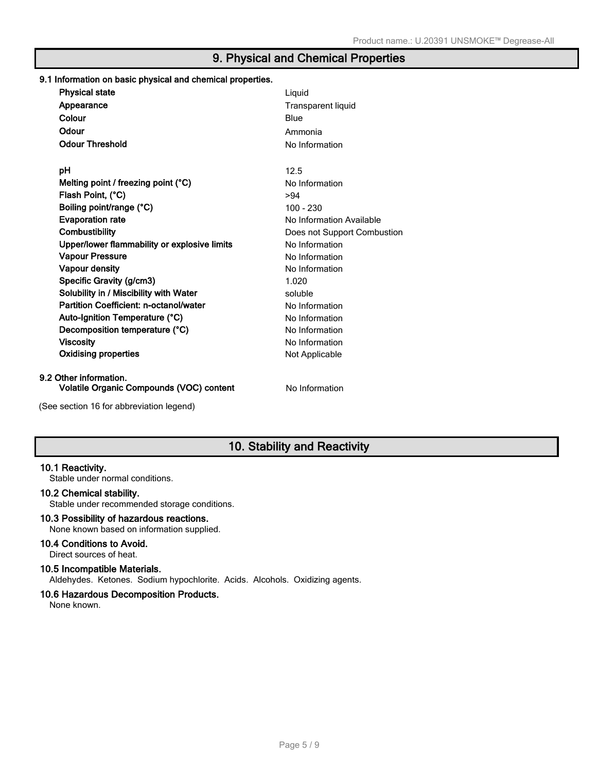# **9. Physical and Chemical Properties**

| 9.1 Information on basic physical and chemical properties.         |                             |
|--------------------------------------------------------------------|-----------------------------|
| <b>Physical state</b>                                              | Liquid                      |
| Appearance                                                         | <b>Transparent liquid</b>   |
| Colour                                                             | Blue                        |
| Odour                                                              | Ammonia                     |
| <b>Odour Threshold</b>                                             | No Information              |
| рH                                                                 | 12.5                        |
| Melting point / freezing point $(°C)$                              | No Information              |
| Flash Point, (°C)                                                  | >94                         |
| Boiling point/range (°C)                                           | $100 - 230$                 |
| <b>Evaporation rate</b>                                            | No Information Available    |
| <b>Combustibility</b>                                              | Does not Support Combustion |
| Upper/lower flammability or explosive limits                       | No Information              |
| <b>Vapour Pressure</b>                                             | No Information              |
| Vapour density                                                     | No Information              |
| Specific Gravity (g/cm3)                                           | 1.020                       |
| Solubility in / Miscibility with Water                             | soluble                     |
| Partition Coefficient: n-octanol/water                             | No Information              |
| Auto-Ignition Temperature (°C)                                     | No Information              |
| Decomposition temperature (°C)                                     | No Information              |
| <b>Viscosity</b>                                                   | No Information              |
| <b>Oxidising properties</b>                                        | Not Applicable              |
| 9.2 Other information.<br>Volatile Organic Compounds (VOC) content | No Information              |
|                                                                    |                             |
| (See section 16 for abbreviation legend)                           |                             |

# **10. Stability and Reactivity**

### **10.1 Reactivity.**

Stable under normal conditions.

#### **10.2 Chemical stability.**

Stable under recommended storage conditions.

# **10.3 Possibility of hazardous reactions.**

None known based on information supplied.

#### **10.4 Conditions to Avoid.**

Direct sources of heat.

#### **10.5 Incompatible Materials.**

Aldehydes. Ketones. Sodium hypochlorite. Acids. Alcohols. Oxidizing agents.

### **10.6 Hazardous Decomposition Products.**

None known.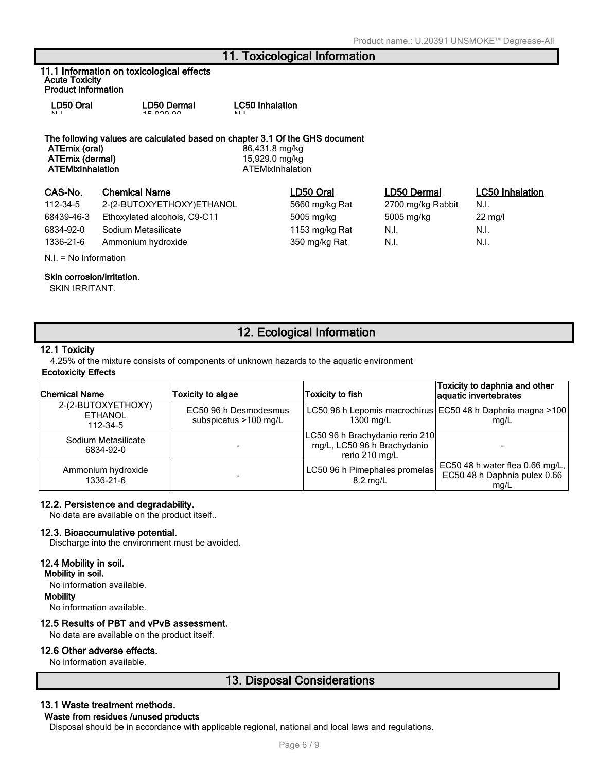# **11. Toxicological Information**

**11.1 Information on toxicological effects Acute Toxicity Product Information**

| LD50 Oral    | <b>LD50 Dermal</b> | <b>LC50 Inhalation</b> |
|--------------|--------------------|------------------------|
| $\mathbf{N}$ | 15.00000           | 11                     |

#### **The following values are calculated based on chapter 3.1 Of the GHS document**

**ATEmix (oral)** 86,431.8 mg/kg **ATEmix (dermal)** 15,929.0 mg/kg

# **CAS-No. Chemical Name LD50 Oral LD50 Dermal LC50 Inhalation**

112-34-5 2-(2-BUTOXYETHOXY)ETHANOL 5660 mg/kg Rat 2700 mg/kg Rabbit N.I. 68439-46-3 Ethoxylated alcohols, C9-C11 5005 mg/kg 5005 mg/kg 22 mg/l 6834-92-0 Sodium Metasilicate 1153 mg/kg Rat N.I. N.I. 1336-21-6 Ammonium hydroxide 350 mg/kg Rat N.I. N.I.

#### N.I. = No Information

**ATEMixInhalation** ATEMixInhalation

### **Skin corrosion/irritation.**

SKIN IRRITANT.

# **12. Ecological Information**

#### **12.1 Toxicity**

4.25% of the mixture consists of components of unknown hazards to the aquatic environment **Ecotoxicity Effects**

| <b>Chemical Name</b>                             | <b>Toxicity to algae</b>                       | Toxicity to fish                                                                 | Toxicity to daphnia and other<br>aquatic invertebrates                  |
|--------------------------------------------------|------------------------------------------------|----------------------------------------------------------------------------------|-------------------------------------------------------------------------|
| 2-(2-BUTOXYETHOXY)<br><b>ETHANOL</b><br>112-34-5 | EC50 96 h Desmodesmus<br>subspicatus >100 mg/L | 1300 mg/L                                                                        | LC50 96 h Lepomis macrochirus EC50 48 h Daphnia magna >100<br>mq/L      |
| Sodium Metasilicate<br>6834-92-0                 |                                                | LC50 96 h Brachydanio rerio 210<br>mg/L, LC50 96 h Brachydanio<br>rerio 210 mg/L |                                                                         |
| Ammonium hydroxide<br>1336-21-6                  |                                                | LC50 96 h Pimephales promelas<br>$8.2 \text{ mg/L}$                              | EC50 48 h water flea 0.66 mg/L,<br>EC50 48 h Daphnia pulex 0.66<br>mq/L |

#### **12.2. Persistence and degradability.**

No data are available on the product itself..

#### **12.3. Bioaccumulative potential.**

Discharge into the environment must be avoided.

#### **12.4 Mobility in soil.**

**Mobility in soil.**

No information available.

#### **Mobility**

No information available.

#### **12.5 Results of PBT and vPvB assessment.**

No data are available on the product itself.

#### **12.6 Other adverse effects.**

No information available.

# **13. Disposal Considerations**

#### **13.1 Waste treatment methods.**

#### **Waste from residues /unused products**

Disposal should be in accordance with applicable regional, national and local laws and regulations.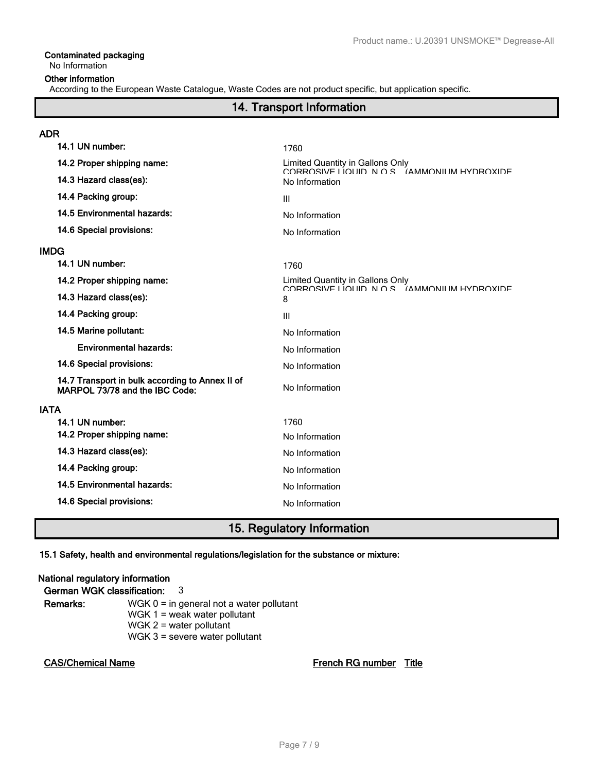# **Contaminated packaging**

# No Information

#### **Other information**

According to the European Waste Catalogue, Waste Codes are not product specific, but application specific.

# **14. Transport Information**

| ADR         |                                                                                   |                                                                                   |
|-------------|-----------------------------------------------------------------------------------|-----------------------------------------------------------------------------------|
|             | 14.1 UN number:                                                                   | 1760                                                                              |
|             | 14.2 Proper shipping name:                                                        | Limited Quantity in Gallons Only<br>CORROSIVE LIOLIID N O.S. (AMMONILIM HYDROXIDE |
|             | 14.3 Hazard class(es):                                                            | No Information                                                                    |
|             | 14.4 Packing group:                                                               | $\mathbf{III}$                                                                    |
|             | 14.5 Environmental hazards:                                                       | No Information                                                                    |
|             | 14.6 Special provisions:                                                          | No Information                                                                    |
| IMDG        |                                                                                   |                                                                                   |
|             | 14.1 UN number:                                                                   | 1760                                                                              |
|             | 14.2 Proper shipping name:                                                        | Limited Quantity in Gallons Only<br>CORROSIVE LIQUID N O S. (AMMONIUM HYDROXIDE   |
|             | 14.3 Hazard class(es):                                                            | 8                                                                                 |
|             | 14.4 Packing group:                                                               | $\mathbf{III}$                                                                    |
|             | 14.5 Marine pollutant:                                                            | No Information                                                                    |
|             | <b>Environmental hazards:</b>                                                     | No Information                                                                    |
|             | 14.6 Special provisions:                                                          | No Information                                                                    |
|             | 14.7 Transport in bulk according to Annex II of<br>MARPOL 73/78 and the IBC Code: | No Information                                                                    |
| <b>IATA</b> |                                                                                   |                                                                                   |
|             | 14.1 UN number:                                                                   | 1760                                                                              |
|             | 14.2 Proper shipping name:                                                        | No Information                                                                    |
|             | 14.3 Hazard class(es):                                                            | No Information                                                                    |
|             | 14.4 Packing group:                                                               | No Information                                                                    |
|             | 14.5 Environmental hazards:                                                       | No Information                                                                    |
|             | 14.6 Special provisions:                                                          | No Information                                                                    |
|             |                                                                                   |                                                                                   |

# **15. Regulatory Information**

#### **15.1 Safety, health and environmental regulations/legislation for the substance or mixture:**

# **National regulatory information German WGK classification:** 3 **Remarks:** WGK 0 = in general not a water pollutant WGK 1 = weak water pollutant

 $WGK 2$  = water pollutant WGK 3 = severe water pollutant

**CAS/Chemical Name French RG number Title**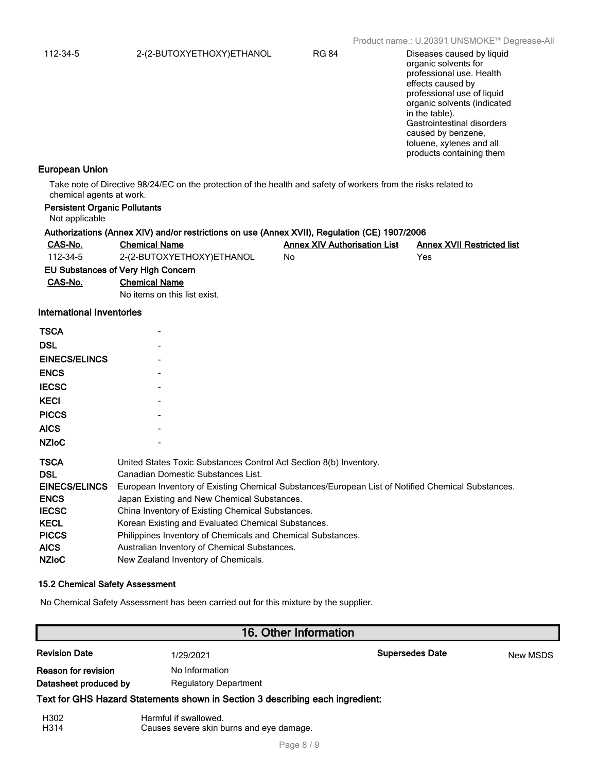organic solvents for professional use. Health effects caused by professional use of liquid organic solvents (indicated in the table). Gastrointestinal disorders caused by benzene, toluene, xylenes and all products containing them

#### **European Union**

Take note of Directive 98/24/EC on the protection of the health and safety of workers from the risks related to chemical agents at work.

| <b>Persistent Organic Pollutants</b><br>Not applicable                                                                                         |                                                                                                                                                                                                                                                                                                                                                                                                                                                                                                                              |                                     |                                   |  |
|------------------------------------------------------------------------------------------------------------------------------------------------|------------------------------------------------------------------------------------------------------------------------------------------------------------------------------------------------------------------------------------------------------------------------------------------------------------------------------------------------------------------------------------------------------------------------------------------------------------------------------------------------------------------------------|-------------------------------------|-----------------------------------|--|
|                                                                                                                                                | Authorizations (Annex XIV) and/or restrictions on use (Annex XVII), Regulation (CE) 1907/2006                                                                                                                                                                                                                                                                                                                                                                                                                                |                                     |                                   |  |
| CAS-No.                                                                                                                                        | <b>Chemical Name</b>                                                                                                                                                                                                                                                                                                                                                                                                                                                                                                         | <b>Annex XIV Authorisation List</b> | <b>Annex XVII Restricted list</b> |  |
| 112-34-5                                                                                                                                       | 2-(2-BUTOXYETHOXY)ETHANOL                                                                                                                                                                                                                                                                                                                                                                                                                                                                                                    | No                                  | Yes                               |  |
|                                                                                                                                                | EU Substances of Very High Concern                                                                                                                                                                                                                                                                                                                                                                                                                                                                                           |                                     |                                   |  |
| CAS-No.                                                                                                                                        | <b>Chemical Name</b>                                                                                                                                                                                                                                                                                                                                                                                                                                                                                                         |                                     |                                   |  |
|                                                                                                                                                | No items on this list exist.                                                                                                                                                                                                                                                                                                                                                                                                                                                                                                 |                                     |                                   |  |
| <b>International Inventories</b>                                                                                                               |                                                                                                                                                                                                                                                                                                                                                                                                                                                                                                                              |                                     |                                   |  |
| <b>TSCA</b>                                                                                                                                    |                                                                                                                                                                                                                                                                                                                                                                                                                                                                                                                              |                                     |                                   |  |
| <b>DSL</b>                                                                                                                                     |                                                                                                                                                                                                                                                                                                                                                                                                                                                                                                                              |                                     |                                   |  |
| <b>EINECS/ELINCS</b>                                                                                                                           |                                                                                                                                                                                                                                                                                                                                                                                                                                                                                                                              |                                     |                                   |  |
| <b>ENCS</b>                                                                                                                                    |                                                                                                                                                                                                                                                                                                                                                                                                                                                                                                                              |                                     |                                   |  |
| <b>IECSC</b>                                                                                                                                   |                                                                                                                                                                                                                                                                                                                                                                                                                                                                                                                              |                                     |                                   |  |
| <b>KECI</b>                                                                                                                                    |                                                                                                                                                                                                                                                                                                                                                                                                                                                                                                                              |                                     |                                   |  |
| <b>PICCS</b>                                                                                                                                   |                                                                                                                                                                                                                                                                                                                                                                                                                                                                                                                              |                                     |                                   |  |
| <b>AICS</b>                                                                                                                                    |                                                                                                                                                                                                                                                                                                                                                                                                                                                                                                                              |                                     |                                   |  |
| <b>NZIoC</b>                                                                                                                                   |                                                                                                                                                                                                                                                                                                                                                                                                                                                                                                                              |                                     |                                   |  |
| <b>TSCA</b><br><b>DSL</b><br><b>EINECS/ELINCS</b><br><b>ENCS</b><br><b>IECSC</b><br><b>KECL</b><br><b>PICCS</b><br><b>AICS</b><br><b>NZIOC</b> | United States Toxic Substances Control Act Section 8(b) Inventory.<br>Canadian Domestic Substances List.<br>European Inventory of Existing Chemical Substances/European List of Notified Chemical Substances.<br>Japan Existing and New Chemical Substances.<br>China Inventory of Existing Chemical Substances.<br>Korean Existing and Evaluated Chemical Substances.<br>Philippines Inventory of Chemicals and Chemical Substances.<br>Australian Inventory of Chemical Substances.<br>New Zealand Inventory of Chemicals. |                                     |                                   |  |

#### **15.2 Chemical Safety Assessment**

No Chemical Safety Assessment has been carried out for this mixture by the supplier.

# **16. Other Information**

| <b>Revision Date</b>  | 1/29/2021                                                                     | <b>Supersedes Date</b> | <b>New MSDS</b> |
|-----------------------|-------------------------------------------------------------------------------|------------------------|-----------------|
| Reason for revision   | No Information                                                                |                        |                 |
| Datasheet produced by | <b>Regulatory Department</b>                                                  |                        |                 |
|                       | Text for GHS Hazard Statements shown in Section 3 describing each ingredient: |                        |                 |
|                       |                                                                               |                        |                 |

| H302 | Harmful if swallowed.                    |
|------|------------------------------------------|
| H314 | Causes severe skin burns and eye damage. |